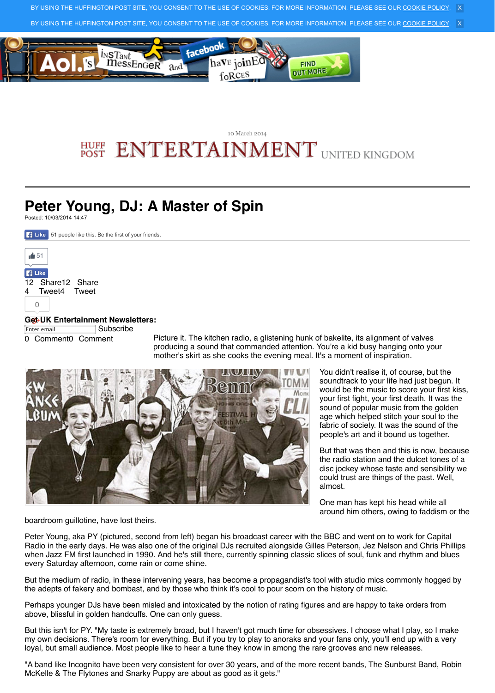## **Get UK Entertainment Newsletters:**

Enter email Subscribe

0 Comment0 Comment

Picture it. The kitchen radio, a glistening hun producing a sound that commanded attention. mother's skirt as she cooks the evening meal.



boardroom guillotine, have lost theirs.

Peter Young, aka PY (pictured, second from left) began his broadcast career with Peter Radio in the early days. He was also one of the original DJs recruited alongside when Jazz FM first launched in 1990. And he's still there, currently spinning classic slices of souls and repre every Saturday afternoon, come rain or come shine.

[But the medium of rad](javascript:void(0);)io, in these intervening years, has become a propagandis the adepts of fakery and bombast, and by those who think it's cool to pour scorn

Perhaps younger DJs have been misled and intoxicated by the notion of rating for above, blissful in golden handcuffs. One can only guess.

[But this isn't for PY. "](javascript:void(0))[My taste is](javascript:void(0);) extremely broad, but I haven't got much time fo [my own decisions. There'](javascript:void(0);)s room for everything. But if you try to play to anoraks loyal, but small audience. Most people like to hear a tune they know in among the

"A band like Incognito have been very consistent for over 30 years, and of the m McKelle & The Flytones and Snarky Puppy are about as good as it gets."

 $\Omega$